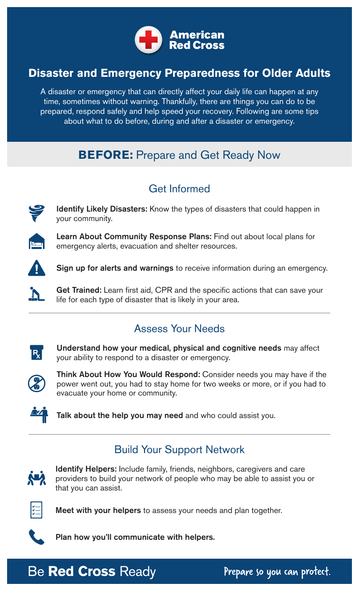

## **Disaster and Emergency Preparedness for Older Adults**

A disaster or emergency that can directly affect your daily life can happen at any time, sometimes without warning. Thankfully, there are things you can do to be prepared, respond safely and help speed your recovery. Following are some tips about what to do before, during and after a disaster or emergency.

# **BEFORE:** Prepare and Get Ready Now

### Get Informed



Identify Likely Disasters: Know the types of disasters that could happen in your community.



Learn About Community Response Plans: Find out about local plans for emergency alerts, evacuation and shelter resources.



Sign up for alerts and warnings to receive information during an emergency.

Get Trained: Learn first aid, CPR and the specific actions that can save your life for each type of disaster that is likely in your area.

## Assess Your Needs



Understand how your medical, physical and cognitive needs may affect your ability to respond to a disaster or emergency.



Think About How You Would Respond: Consider needs you may have if the power went out, you had to stay home for two weeks or more, or if you had to evacuate your home or community.



Talk about the help you may need and who could assist you.

## Build Your Support Network



Identify Helpers: Include family, friends, neighbors, caregivers and care providers to build your network of people who may be able to assist you or that you can assist.



Meet with your helpers to assess your needs and plan together.



Plan how you'll communicate with helpers.

# **Be Red Cross Ready**